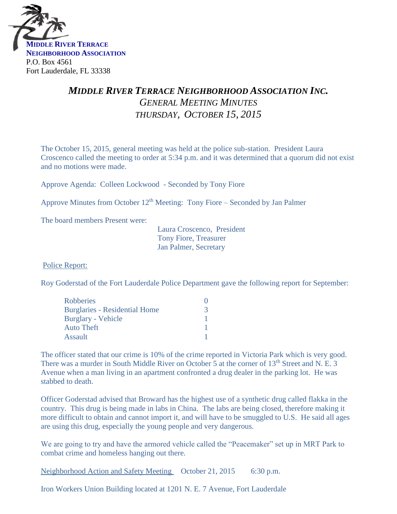

# *MIDDLE RIVER TERRACE NEIGHBORHOOD ASSOCIATION INC. GENERAL MEETING MINUTES THURSDAY, OCTOBER 15, 2015*

The October 15, 2015, general meeting was held at the police sub-station. President Laura Croscenco called the meeting to order at 5:34 p.m. and it was determined that a quorum did not exist and no motions were made.

Approve Agenda: Colleen Lockwood - Seconded by Tony Fiore

Approve Minutes from October  $12<sup>th</sup>$  Meeting: Tony Fiore – Seconded by Jan Palmer

The board members Present were:

Laura Croscenco, President Tony Fiore, Treasurer Jan Palmer, Secretary

Police Report:

Roy Goderstad of the Fort Lauderdale Police Department gave the following report for September:

| <b>Robberies</b>                     |   |
|--------------------------------------|---|
| <b>Burglaries - Residential Home</b> | 3 |
| <b>Burglary - Vehicle</b>            |   |
| <b>Auto Theft</b>                    |   |
| <b>Assault</b>                       |   |

The officer stated that our crime is 10% of the crime reported in Victoria Park which is very good. There was a murder in South Middle River on October 5 at the corner of 13<sup>th</sup> Street and N. E. 3 Avenue when a man living in an apartment confronted a drug dealer in the parking lot. He was stabbed to death.

Officer Goderstad advised that Broward has the highest use of a synthetic drug called flakka in the country. This drug is being made in labs in China. The labs are being closed, therefore making it more difficult to obtain and cannot import it, and will have to be smuggled to U.S. He said all ages are using this drug, especially the young people and very dangerous.

We are going to try and have the armored vehicle called the "Peacemaker" set up in MRT Park to combat crime and homeless hanging out there.

Neighborhood Action and Safety Meeting October 21, 2015 6:30 p.m.

Iron Workers Union Building located at 1201 N. E. 7 Avenue, Fort Lauderdale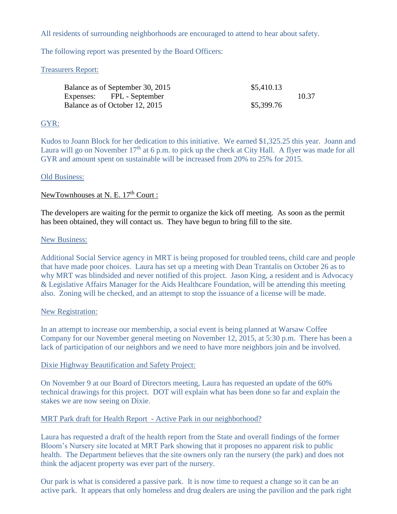All residents of surrounding neighborhoods are encouraged to attend to hear about safety.

The following report was presented by the Board Officers:

## Treasurers Report:

| Balance as of September 30, 2015 | \$5,410.13 |       |
|----------------------------------|------------|-------|
| Expenses: FPL - September        |            | 10.37 |
| Balance as of October 12, 2015   | \$5,399.76 |       |

## GYR:

Kudos to Joann Block for her dedication to this initiative. We earned \$1,325.25 this year. Joann and Laura will go on November  $17<sup>th</sup>$  at 6 p.m. to pick up the check at City Hall. A flyer was made for all GYR and amount spent on sustainable will be increased from 20% to 25% for 2015.

### Old Business:

### NewTownhouses at N. E. 17<sup>th</sup> Court :

The developers are waiting for the permit to organize the kick off meeting. As soon as the permit has been obtained, they will contact us. They have begun to bring fill to the site.

#### New Business:

Additional Social Service agency in MRT is being proposed for troubled teens, child care and people that have made poor choices. Laura has set up a meeting with Dean Trantalis on October 26 as to why MRT was blindsided and never notified of this project. Jason King, a resident and is Advocacy & Legislative Affairs Manager for the Aids Healthcare Foundation, will be attending this meeting also. Zoning will be checked, and an attempt to stop the issuance of a license will be made.

#### New Registration:

In an attempt to increase our membership, a social event is being planned at Warsaw Coffee Company for our November general meeting on November 12, 2015, at 5:30 p.m. There has been a lack of participation of our neighbors and we need to have more neighbors join and be involved.

### Dixie Highway Beautification and Safety Project:

On November 9 at our Board of Directors meeting, Laura has requested an update of the 60% technical drawings for this project. DOT will explain what has been done so far and explain the stakes we are now seeing on Dixie.

### MRT Park draft for Health Report - Active Park in our neighborhood?

Laura has requested a draft of the health report from the State and overall findings of the former Bloom's Nursery site located at MRT Park showing that it proposes no apparent risk to public health. The Department believes that the site owners only ran the nursery (the park) and does not think the adjacent property was ever part of the nursery.

Our park is what is considered a passive park. It is now time to request a change so it can be an active park. It appears that only homeless and drug dealers are using the pavilion and the park right